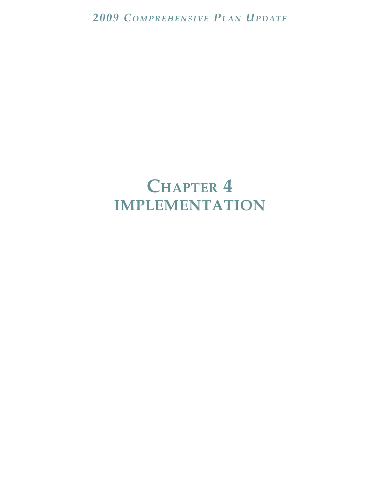*2009 C OMPREHENSIVE PLAN UPDATE*

# **CHAPTER 4 IMPLEMENTATION**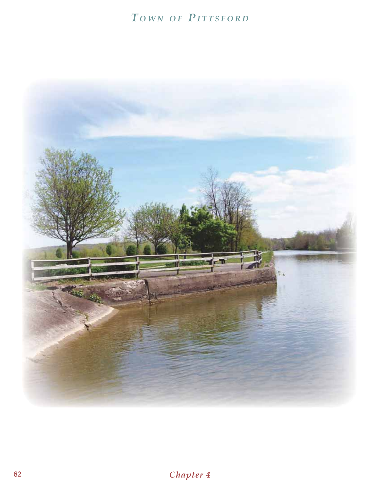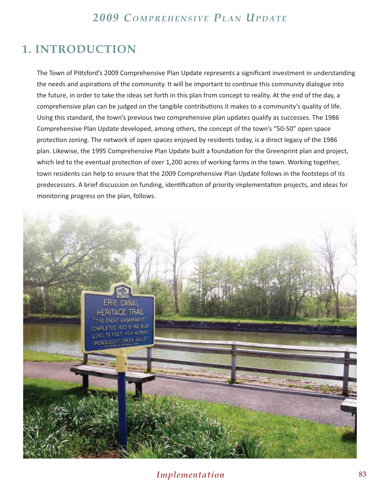# **1. INTRODUCTION**

The Town of Pittsford's 2009 Comprehensive Plan Update represents a significant investment in understanding the needs and aspirations of the community. It will be important to continue this community dialogue into the future, in order to take the ideas set forth in this plan from concept to reality. At the end of the day, a comprehensive plan can be judged on the tangible contributions it makes to a community's quality of life. Using this standard, the town's previous two comprehensive plan updates qualify as successes. The 1986 Comprehensive Plan Update developed, among others, the concept of the town's "50-50" open space protection zoning. The network of open spaces enjoyed by residents today, is a direct legacy of the 1986 plan. Likewise, the 1995 Comprehensive Plan Update built a foundation for the Greenprint plan and project, which led to the eventual protection of over 1,200 acres of working farms in the town. Working together, town residents can help to ensure that the 2009 Comprehensive Plan Update follows in the footsteps of its predecessors. A brief discussion on funding, identification of priority implementation projects, and ideas for monitoring progress on the plan, follows.



#### *Implementation*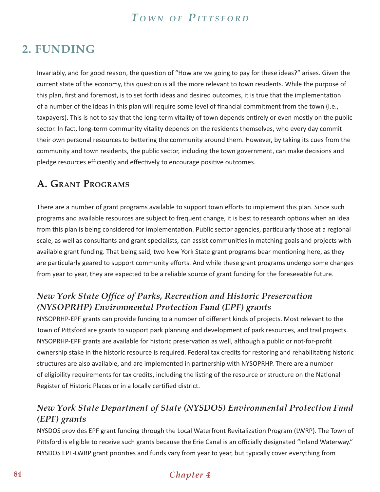# **2. FUNDING**

Invariably, and for good reason, the question of "How are we going to pay for these ideas?" arises. Given the current state of the economy, this question is all the more relevant to town residents. While the purpose of this plan, first and foremost, is to set forth ideas and desired outcomes, it is true that the implementation of a number of the ideas in this plan will require some level of financial commitment from the town (i.e., taxpayers). This is not to say that the long-term vitality of town depends entirely or even mostly on the public sector. In fact, long-term community vitality depends on the residents themselves, who every day commit their own personal resources to bettering the community around them. However, by taking its cues from the community and town residents, the public sector, including the town government, can make decisions and pledge resources efficiently and effectively to encourage positive outcomes.

### **A. GRANT PROGRAMS**

There are a number of grant programs available to support town efforts to implement this plan. Since such programs and available resources are subject to frequent change, it is best to research options when an idea from this plan is being considered for implementation. Public sector agencies, particularly those at a regional scale, as well as consultants and grant specialists, can assist communities in matching goals and projects with available grant funding. That being said, two New York State grant programs bear mentioning here, as they are particularly geared to support community efforts. And while these grant programs undergo some changes from year to year, they are expected to be a reliable source of grant funding for the foreseeable future.

#### *New York State Office of Parks, Recreation and Historic Preservation (NYSOPRHP) Environmental Protection Fund (EPF) grants*

NYSOPRHP-EPF grants can provide funding to a number of different kinds of projects. Most relevant to the Town of Pittsford are grants to support park planning and development of park resources, and trail projects. NYSOPRHP-EPF grants are available for historic preservation as well, although a public or not-for-profit ownership stake in the historic resource is required. Federal tax credits for restoring and rehabilitating historic structures are also available, and are implemented in partnership with NYSOPRHP. There are a number of eligibility requirements for tax credits, including the listing of the resource or structure on the National Register of Historic Places or in a locally certified district.

### *New York State Department of State (NYSDOS) Environmental Protection Fund (EPF) grants*

NYSDOS provides EPF grant funding through the Local Waterfront Revitalization Program (LWRP). The Town of Pittsford is eligible to receive such grants because the Erie Canal is an officially designated "Inland Waterway." NYSDOS EPF-LWRP grant priorities and funds vary from year to year, but typically cover everything from

#### **84** *Chapter 4*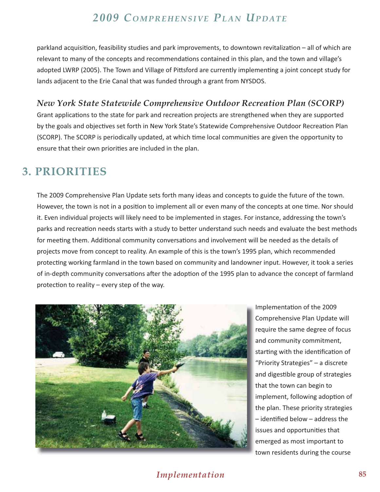# *2009 C OMPREHENSIVE PLAN UPDATE*

parkland acquisition, feasibility studies and park improvements, to downtown revitalization - all of which are relevant to many of the concepts and recommendations contained in this plan, and the town and village's adopted LWRP (2005). The Town and Village of Pittsford are currently implementing a joint concept study for lands adjacent to the Erie Canal that was funded through a grant from NYSDOS.

#### *New York State Statewide Comprehensive Outdoor Recreation Plan (SCORP)*

Grant applications to the state for park and recreation projects are strengthened when they are supported by the goals and objectives set forth in New York State's Statewide Comprehensive Outdoor Recreation Plan (SCORP). The SCORP is periodically updated, at which time local communities are given the opportunity to ensure that their own priorities are included in the plan.

# **3. PRIORITIES**

The 2009 Comprehensive Plan Update sets forth many ideas and concepts to guide the future of the town. However, the town is not in a position to implement all or even many of the concepts at one time. Nor should it. Even individual projects will likely need to be implemented in stages. For instance, addressing the town's parks and recreation needs starts with a study to better understand such needs and evaluate the best methods for meeting them. Additional community conversations and involvement will be needed as the details of projects move from concept to reality. An example of this is the town's 1995 plan, which recommended protecting working farmland in the town based on community and landowner input. However, it took a series of in-depth community conversations after the adoption of the 1995 plan to advance the concept of farmland protection to reality – every step of the way.



Implementation of the 2009 Comprehensive Plan Update will require the same degree of focus and community commitment, starting with the identification of "Priority Strategies" – a discrete and digestible group of strategies that the town can begin to implement, following adoption of the plan. These priority strategies  $-$  identified below  $-$  address the issues and opportunities that emerged as most important to town residents during the course

#### *Implementation*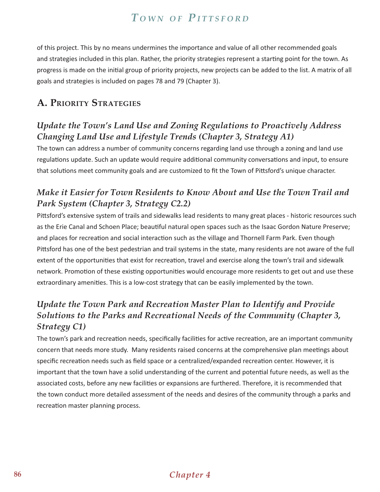of this project. This by no means undermines the importance and value of all other recommended goals and strategies included in this plan. Rather, the priority strategies represent a starting point for the town. As progress is made on the initial group of priority projects, new projects can be added to the list. A matrix of all goals and strategies is included on pages 78 and 79 (Chapter 3).

## **A. PRIORITY STRATEGIES**

#### *Update the Town's Land Use and Zoning Regulations to Proactively Address Changing Land Use and Lifestyle Trends (Chapter 3, Strategy A1)*

The town can address a number of community concerns regarding land use through a zoning and land use regulations update. Such an update would require additional community conversations and input, to ensure that solutions meet community goals and are customized to fit the Town of Pittsford's unique character.

### *Make it Easier for Town Residents to Know About and Use the Town Trail and Park System (Chapter 3, Strategy C2.2)*

Pittsford's extensive system of trails and sidewalks lead residents to many great places - historic resources such as the Erie Canal and Schoen Place; beautiful natural open spaces such as the Isaac Gordon Nature Preserve; and places for recreation and social interaction such as the village and Thornell Farm Park. Even though Pittsford has one of the best pedestrian and trail systems in the state, many residents are not aware of the full extent of the opportunities that exist for recreation, travel and exercise along the town's trail and sidewalk network. Promotion of these existing opportunities would encourage more residents to get out and use these extraordinary amenities. This is a low-cost strategy that can be easily implemented by the town.

### *Update the Town Park and Recreation Master Plan to Identify and Provide Solutions to the Parks and Recreational Needs of the Community (Chapter 3, Strategy C1)*

The town's park and recreation needs, specifically facilities for active recreation, are an important community concern that needs more study. Many residents raised concerns at the comprehensive plan meetings about specific recreation needs such as field space or a centralized/expanded recreation center. However, it is important that the town have a solid understanding of the current and potential future needs, as well as the associated costs, before any new facilities or expansions are furthered. Therefore, it is recommended that the town conduct more detailed assessment of the needs and desires of the community through a parks and recreation master planning process.

### **86** *Chapter 4*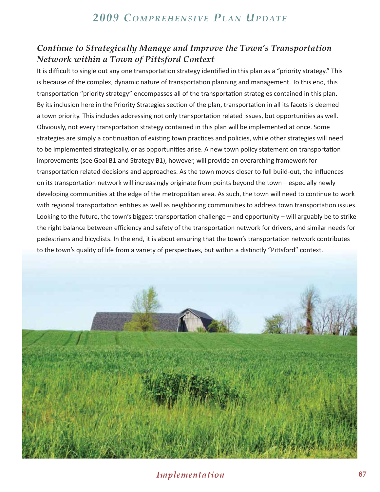# *2009 C OMPREHENSIVE PLAN UPDATE*

#### *Continue to Strategically Manage and Improve the Town's Transportation Network within a Town of Pittsford Context*

It is difficult to single out any one transportation strategy identified in this plan as a "priority strategy." This is because of the complex, dynamic nature of transportation planning and management. To this end, this transportation "priority strategy" encompasses all of the transportation strategies contained in this plan. By its inclusion here in the Priority Strategies section of the plan, transportation in all its facets is deemed a town priority. This includes addressing not only transportation related issues, but opportunities as well. Obviously, not every transportation strategy contained in this plan will be implemented at once. Some strategies are simply a continuation of existing town practices and policies, while other strategies will need to be implemented strategically, or as opportunities arise. A new town policy statement on transportation improvements (see Goal B1 and Strategy B1), however, will provide an overarching framework for transportation related decisions and approaches. As the town moves closer to full build-out, the influences on its transportation network will increasingly originate from points beyond the town – especially newly developing communities at the edge of the metropolitan area. As such, the town will need to continue to work with regional transportation entities as well as neighboring communities to address town transportation issues. Looking to the future, the town's biggest transportation challenge  $-$  and opportunity  $-$  will arguably be to strike the right balance between efficiency and safety of the transportation network for drivers, and similar needs for pedestrians and bicyclists. In the end, it is about ensuring that the town's transportation network contributes to the town's quality of life from a variety of perspectives, but within a distinctly "Pittsford" context.